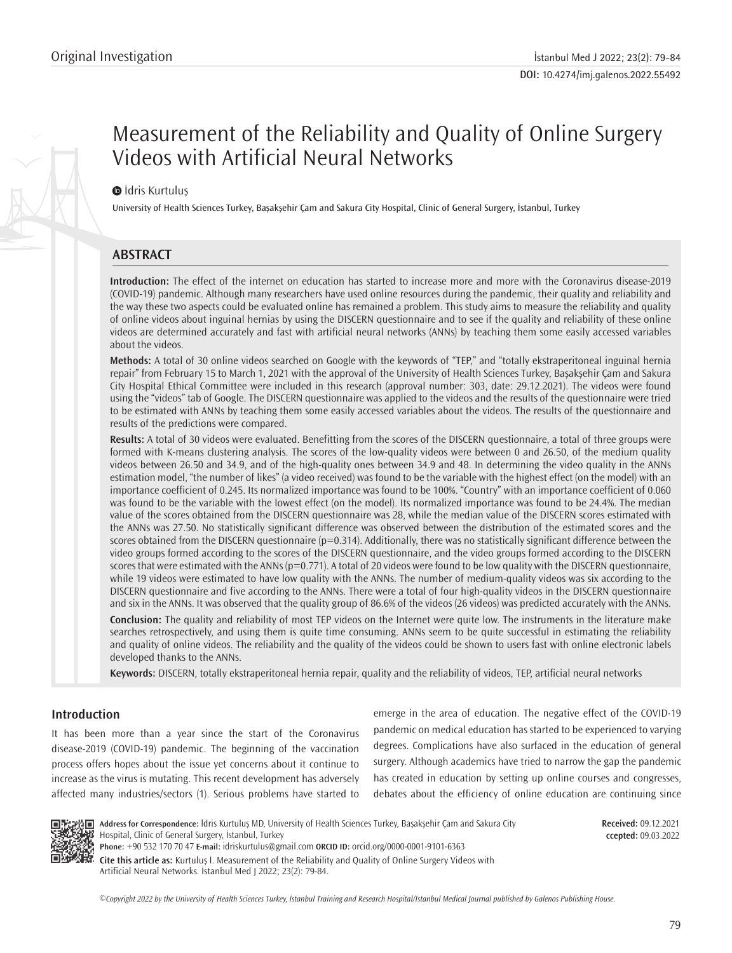# Measurement of the Reliability and Quality of Online Surgery Videos with Artificial Neural Networks

### $\bullet$ İdris Kurtulus

University of Health Sciences Turkey, Başakşehir Çam and Sakura City Hospital, Clinic of General Surgery, İstanbul, Turkey

# **ABSTRACT**

**Introduction:** The effect of the internet on education has started to increase more and more with the Coronavirus disease-2019 (COVID-19) pandemic. Although many researchers have used online resources during the pandemic, their quality and reliability and the way these two aspects could be evaluated online has remained a problem. This study aims to measure the reliability and quality of online videos about inguinal hernias by using the DISCERN questionnaire and to see if the quality and reliability of these online videos are determined accurately and fast with artificial neural networks (ANNs) by teaching them some easily accessed variables about the videos.

**Methods:** A total of 30 online videos searched on Google with the keywords of "TEP," and "totally ekstraperitoneal inguinal hernia repair" from February 15 to March 1, 2021 with the approval of the University of Health Sciences Turkey, Başakşehir Çam and Sakura City Hospital Ethical Committee were included in this research (approval number: 303, date: 29.12.2021). The videos were found using the "videos" tab of Google. The DISCERN questionnaire was applied to the videos and the results of the questionnaire were tried to be estimated with ANNs by teaching them some easily accessed variables about the videos. The results of the questionnaire and results of the predictions were compared.

**Results:** A total of 30 videos were evaluated. Benefitting from the scores of the DISCERN questionnaire, a total of three groups were formed with K-means clustering analysis. The scores of the low-quality videos were between 0 and 26.50, of the medium quality videos between 26.50 and 34.9, and of the high-quality ones between 34.9 and 48. In determining the video quality in the ANNs estimation model, "the number of likes" (a video received) was found to be the variable with the highest effect (on the model) with an importance coefficient of 0.245. Its normalized importance was found to be 100%. "Country" with an importance coefficient of 0.060 was found to be the variable with the lowest effect (on the model). Its normalized importance was found to be 24.4%. The median value of the scores obtained from the DISCERN questionnaire was 28, while the median value of the DISCERN scores estimated with the ANNs was 27.50. No statistically significant difference was observed between the distribution of the estimated scores and the scores obtained from the DISCERN questionnaire (p=0.314). Additionally, there was no statistically significant difference between the video groups formed according to the scores of the DISCERN questionnaire, and the video groups formed according to the DISCERN scores that were estimated with the ANNs ( $p=0.771$ ). A total of 20 videos were found to be low quality with the DISCERN questionnaire, while 19 videos were estimated to have low quality with the ANNs. The number of medium-quality videos was six according to the DISCERN questionnaire and five according to the ANNs. There were a total of four high-quality videos in the DISCERN questionnaire and six in the ANNs. It was observed that the quality group of 86.6% of the videos (26 videos) was predicted accurately with the ANNs.

**Conclusion:** The quality and reliability of most TEP videos on the Internet were quite low. The instruments in the literature make searches retrospectively, and using them is quite time consuming. ANNs seem to be quite successful in estimating the reliability and quality of online videos. The reliability and the quality of the videos could be shown to users fast with online electronic labels developed thanks to the ANNs.

**Keywords:** DISCERN, totally ekstraperitoneal hernia repair, quality and the reliability of videos, TEP, artificial neural networks

## **Introduction**

It has been more than a year since the start of the Coronavirus disease-2019 (COVID-19) pandemic. The beginning of the vaccination process offers hopes about the issue yet concerns about it continue to increase as the virus is mutating. This recent development has adversely affected many industries/sectors (1). Serious problems have started to emerge in the area of education. The negative effect of the COVID-19 pandemic on medical education has started to be experienced to varying degrees. Complications have also surfaced in the education of general surgery. Although academics have tried to narrow the gap the pandemic has created in education by setting up online courses and congresses, debates about the efficiency of online education are continuing since



**Address for Correspondence:** İdris Kurtuluş MD, University of Health Sciences Turkey, Başakşehir Çam and Sakura City Hospital, Clinic of General Surgery, İstanbul, Turkey **Phone:** +90 532 170 70 47 **E-mail:** idriskurtulus@gmail.com **ORCID ID:** orcid.org/0000-0001-9101-6363

**Cite this article as:** Kurtuluş İ. Measurement of the Reliability and Quality of Online Surgery Videos with Artificial Neural Networks. İstanbul Med J 2022; 23(2): 79-84.

*©*Copyright 2022 by the University of Health Sciences Turkey, İstanbul Training and Research Hospital/İstanbul Medical Journal published by Galenos Publishing House.

**Received:** 09.12.2021 **ccepted:** 09.03.2022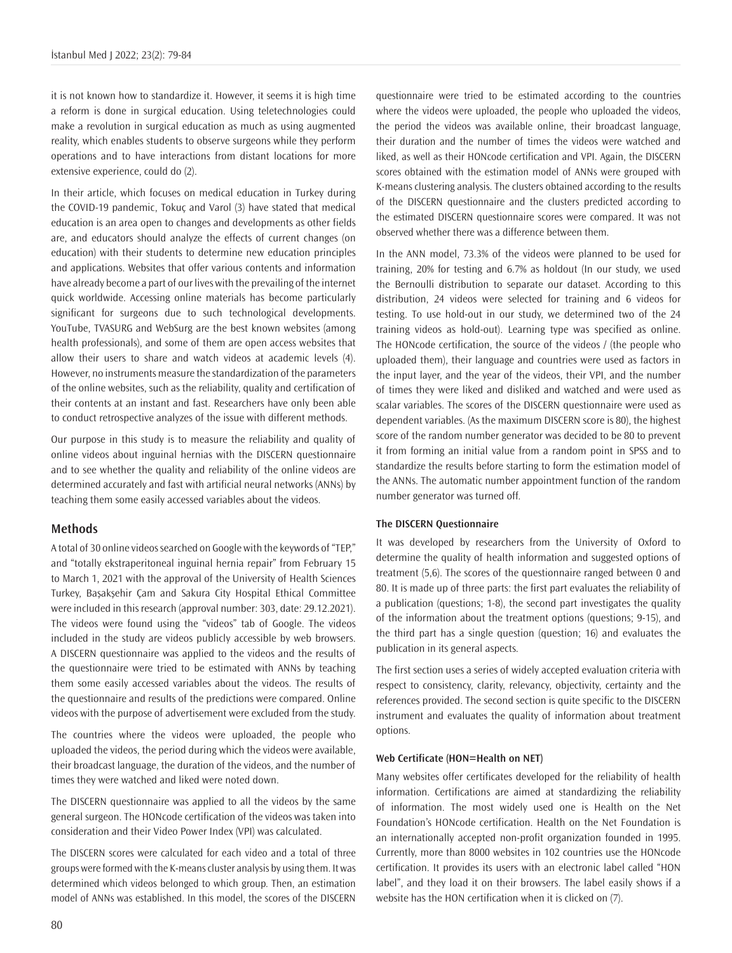it is not known how to standardize it. However, it seems it is high time a reform is done in surgical education. Using teletechnologies could make a revolution in surgical education as much as using augmented reality, which enables students to observe surgeons while they perform operations and to have interactions from distant locations for more extensive experience, could do (2).

In their article, which focuses on medical education in Turkey during the COVID-19 pandemic, Tokuç and Varol (3) have stated that medical education is an area open to changes and developments as other fields are, and educators should analyze the effects of current changes (on education) with their students to determine new education principles and applications. Websites that offer various contents and information have already become a part of our lives with the prevailing of the internet quick worldwide. Accessing online materials has become particularly significant for surgeons due to such technological developments. YouTube, TVASURG and WebSurg are the best known websites (among health professionals), and some of them are open access websites that allow their users to share and watch videos at academic levels (4). However, no instruments measure the standardization of the parameters of the online websites, such as the reliability, quality and certification of their contents at an instant and fast. Researchers have only been able to conduct retrospective analyzes of the issue with different methods.

Our purpose in this study is to measure the reliability and quality of online videos about inguinal hernias with the DISCERN questionnaire and to see whether the quality and reliability of the online videos are determined accurately and fast with artificial neural networks (ANNs) by teaching them some easily accessed variables about the videos.

#### **Methods**

A total of 30 online videos searched on Google with the keywords of "TEP," and "totally ekstraperitoneal inguinal hernia repair" from February 15 to March 1, 2021 with the approval of the University of Health Sciences Turkey, Başakşehir Çam and Sakura City Hospital Ethical Committee were included in this research (approval number: 303, date: 29.12.2021). The videos were found using the "videos" tab of Google. The videos included in the study are videos publicly accessible by web browsers. A DISCERN questionnaire was applied to the videos and the results of the questionnaire were tried to be estimated with ANNs by teaching them some easily accessed variables about the videos. The results of the questionnaire and results of the predictions were compared. Online videos with the purpose of advertisement were excluded from the study.

The countries where the videos were uploaded, the people who uploaded the videos, the period during which the videos were available, their broadcast language, the duration of the videos, and the number of times they were watched and liked were noted down.

The DISCERN questionnaire was applied to all the videos by the same general surgeon. The HONcode certification of the videos was taken into consideration and their Video Power Index (VPI) was calculated.

The DISCERN scores were calculated for each video and a total of three groups were formed with the K-means cluster analysis by using them. It was determined which videos belonged to which group. Then, an estimation model of ANNs was established. In this model, the scores of the DISCERN

questionnaire were tried to be estimated according to the countries where the videos were uploaded, the people who uploaded the videos, the period the videos was available online, their broadcast language, their duration and the number of times the videos were watched and liked, as well as their HONcode certification and VPI. Again, the DISCERN scores obtained with the estimation model of ANNs were grouped with K-means clustering analysis. The clusters obtained according to the results of the DISCERN questionnaire and the clusters predicted according to the estimated DISCERN questionnaire scores were compared. It was not observed whether there was a difference between them.

In the ANN model, 73.3% of the videos were planned to be used for training, 20% for testing and 6.7% as holdout (In our study, we used the Bernoulli distribution to separate our dataset. According to this distribution, 24 videos were selected for training and 6 videos for testing. To use hold-out in our study, we determined two of the 24 training videos as hold-out). Learning type was specified as online. The HONcode certification, the source of the videos / (the people who uploaded them), their language and countries were used as factors in the input layer, and the year of the videos, their VPI, and the number of times they were liked and disliked and watched and were used as scalar variables. The scores of the DISCERN questionnaire were used as dependent variables. (As the maximum DISCERN score is 80), the highest score of the random number generator was decided to be 80 to prevent it from forming an initial value from a random point in SPSS and to standardize the results before starting to form the estimation model of the ANNs. The automatic number appointment function of the random number generator was turned off.

#### **The DISCERN Questionnaire**

It was developed by researchers from the University of Oxford to determine the quality of health information and suggested options of treatment (5,6). The scores of the questionnaire ranged between 0 and 80. It is made up of three parts: the first part evaluates the reliability of a publication (questions; 1-8), the second part investigates the quality of the information about the treatment options (questions; 9-15), and the third part has a single question (question; 16) and evaluates the publication in its general aspects.

The first section uses a series of widely accepted evaluation criteria with respect to consistency, clarity, relevancy, objectivity, certainty and the references provided. The second section is quite specific to the DISCERN instrument and evaluates the quality of information about treatment options.

#### **Web Certificate (HON=Health on NET)**

Many websites offer certificates developed for the reliability of health information. Certifications are aimed at standardizing the reliability of information. The most widely used one is Health on the Net Foundation's HONcode certification. Health on the Net Foundation is an internationally accepted non-profit organization founded in 1995. Currently, more than 8000 websites in 102 countries use the HONcode certification. It provides its users with an electronic label called "HON label", and they load it on their browsers. The label easily shows if a website has the HON certification when it is clicked on (7).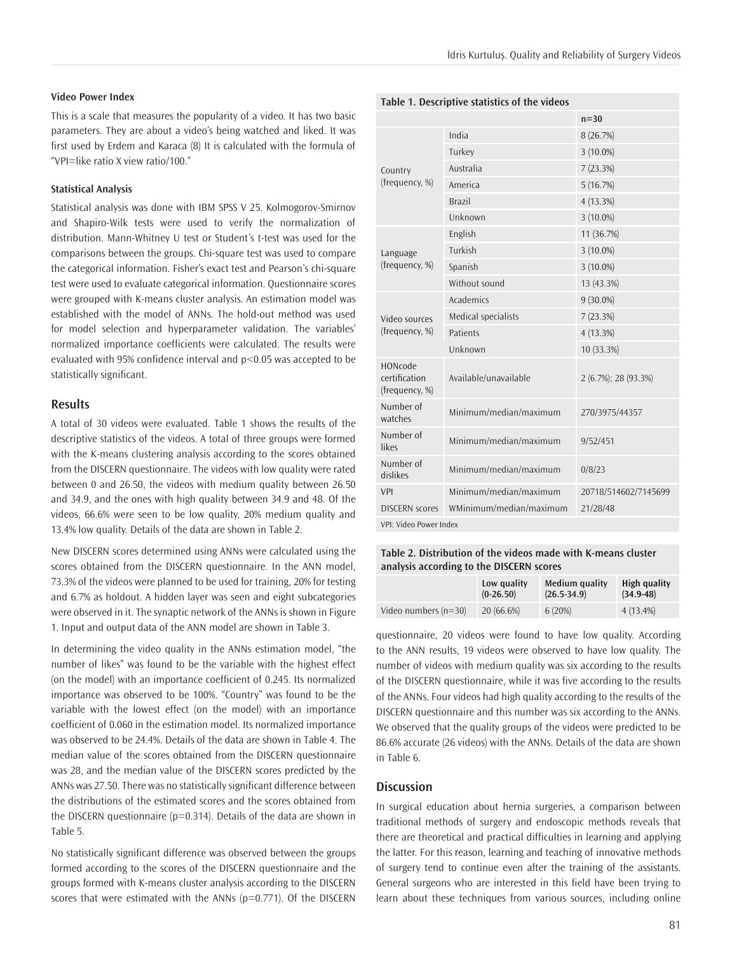#### **Video Power Index**

This is a scale that measures the popularity of a video. It has two basic parameters. They are about a video's being watched and liked. It was first used by Erdem and Karaca (8) It is calculated with the formula of "VPI=like ratio X view ratio/100."

#### **Statistical Analysis**

Statistical analysis was done with IBM SPSS V 25. Kolmogorov-Smirnov and Shapiro-Wilk tests were used to verify the normalization of distribution. Mann-Whitney U test or Student's t-test was used for the comparisons between the groups. Chi-square test was used to compare the categorical information. Fisher's exact test and Pearson's chi-square test were used to evaluate categorical information. Questionnaire scores were grouped with K-means cluster analysis. An estimation model was established with the model of ANNs. The hold-out method was used for model selection and hyperparameter validation. The variables' normalized importance coefficients were calculated. The results were evaluated with 95% confidence interval and p<0.05 was accepted to be statistically significant.

#### **Results**

A total of 30 videos were evaluated. Table 1 shows the results of the descriptive statistics of the videos. A total of three groups were formed with the K-means clustering analysis according to the scores obtained from the DISCERN questionnaire. The videos with low quality were rated between 0 and 26.50, the videos with medium quality between 26.50 and 34.9, and the ones with high quality between 34.9 and 48. Of the videos, 66.6% were seen to be low quality, 20% medium quality and 13.4% low quality. Details of the data are shown in Table 2.

New DISCERN scores determined using ANNs were calculated using the scores obtained from the DISCERN questionnaire. In the ANN model, 73.3% of the videos were planned to be used for training, 20% for testing and 6.7% as holdout. A hidden layer was seen and eight subcategories were observed in it. The synaptic network of the ANNs is shown in Figure 1. Input and output data of the ANN model are shown in Table 3.

In determining the video quality in the ANNs estimation model, "the number of likes" was found to be the variable with the highest effect (on the model) with an importance coefficient of 0.245. Its normalized importance was observed to be 100%. "Country" was found to be the variable with the lowest effect (on the model) with an importance coefficient of 0.060 in the estimation model. Its normalized importance was observed to be 24.4%. Details of the data are shown in Table 4. The median value of the scores obtained from the DISCERN questionnaire was 28, and the median value of the DISCERN scores predicted by the ANNs was 27.50. There was no statistically significant difference between the distributions of the estimated scores and the scores obtained from the DISCERN questionnaire ( $p=0.314$ ). Details of the data are shown in Table 5.

No statistically significant difference was observed between the groups formed according to the scores of the DISCERN questionnaire and the groups formed with K-means cluster analysis according to the DISCERN scores that were estimated with the ANNs ( $p=0.771$ ). Of the DISCERN

|                                                   |                         | $n=30$               |  |
|---------------------------------------------------|-------------------------|----------------------|--|
| Country                                           | India                   | 8 (26.7%)            |  |
|                                                   | Turkey                  | 3 (10.0%)            |  |
|                                                   | Australia               | 7(23.3%)             |  |
| (frequency, %)                                    | America                 | 5(16.7%)             |  |
|                                                   | <b>Brazil</b>           | 4 (13.3%)            |  |
|                                                   | Unknown                 | $3(10.0\%)$          |  |
|                                                   | English                 | 11 (36.7%)           |  |
| Language                                          | Turkish                 | $3(10.0\%)$          |  |
| (frequency, %)                                    | Spanish                 | $3(10.0\%)$          |  |
|                                                   | Without sound           | 13 (43.3%)           |  |
|                                                   | Academics               | $9(30.0\%)$          |  |
| Video sources                                     | Medical specialists     | 7(23.3%)             |  |
| (frequency, %)                                    | Patients                | 4 (13.3%)            |  |
|                                                   | Unknown                 | 10 (33.3%)           |  |
| <b>HONcode</b><br>certification<br>(frequency, %) | Available/unavailable   | 2 (6.7%); 28 (93.3%) |  |
| Number of<br>watches                              | Minimum/median/maximum  | 270/3975/44357       |  |
| Number of<br>likes                                | Minimum/median/maximum  | 9/52/451             |  |
| Number of<br>dislikes                             | Minimum/median/maximum  | 0/8/23               |  |
| <b>VPI</b>                                        | Minimum/median/maximum  | 20718/514602/7145699 |  |
| <b>DISCERN</b> scores                             | WMinimum/median/maximum | 21/28/48             |  |
| VPI: Video Power Index                            |                         |                      |  |

**Table 1. Descriptive statistics of the videos**

**Table 2. Distribution of the videos made with K-means cluster analysis according to the DISCERN scores**

|                        | Low quality | Medium quality  | High quality  |
|------------------------|-------------|-----------------|---------------|
|                        | $(0-26.50)$ | $(26.5 - 34.9)$ | $(34.9 - 48)$ |
| Video numbers $(n=30)$ | 20 (66.6%)  | 6(20%)          | $4(13.4\%)$   |

questionnaire, 20 videos were found to have low quality. According to the ANN results, 19 videos were observed to have low quality. The number of videos with medium quality was six according to the results of the DISCERN questionnaire, while it was five according to the results of the ANNs. Four videos had high quality according to the results of the DISCERN questionnaire and this number was six according to the ANNs. We observed that the quality groups of the videos were predicted to be 86.6% accurate (26 videos) with the ANNs. Details of the data are shown in Table 6.

#### **Discussion**

In surgical education about hernia surgeries, a comparison between traditional methods of surgery and endoscopic methods reveals that there are theoretical and practical difficulties in learning and applying the latter. For this reason, learning and teaching of innovative methods of surgery tend to continue even after the training of the assistants. General surgeons who are interested in this field have been trying to learn about these techniques from various sources, including online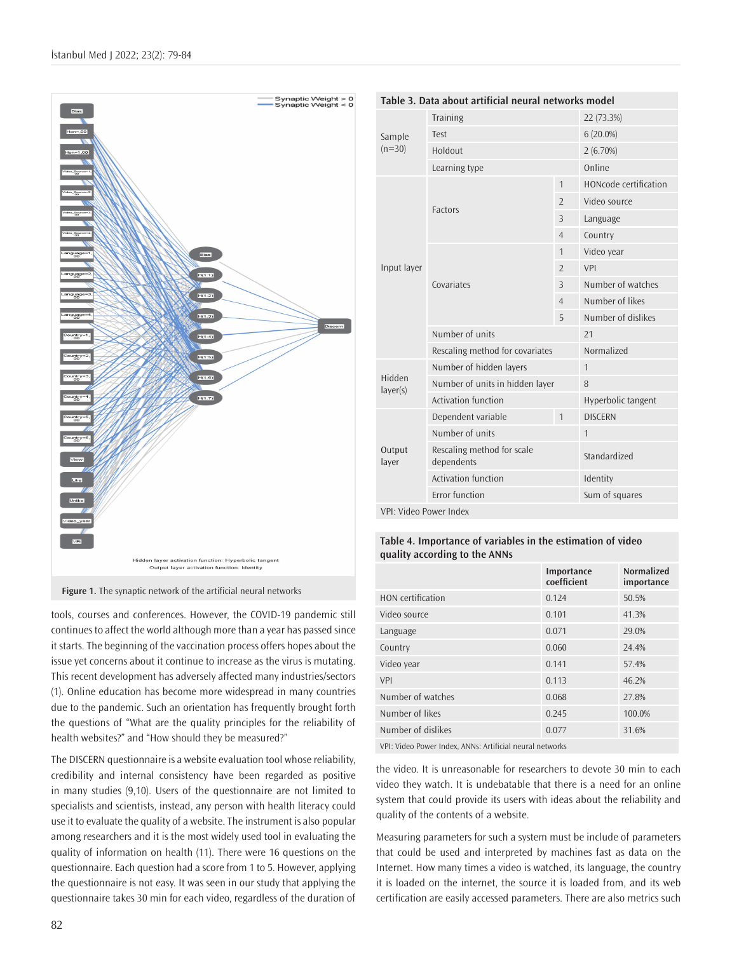



tools, courses and conferences. However, the COVID-19 pandemic still continues to affect the world although more than a year has passed since it starts. The beginning of the vaccination process offers hopes about the issue yet concerns about it continue to increase as the virus is mutating. This recent development has adversely affected many industries/sectors (1). Online education has become more widespread in many countries due to the pandemic. Such an orientation has frequently brought forth the questions of "What are the quality principles for the reliability of health websites?" and "How should they be measured?"

The DISCERN questionnaire is a website evaluation tool whose reliability, credibility and internal consistency have been regarded as positive in many studies (9,10). Users of the questionnaire are not limited to specialists and scientists, instead, any person with health literacy could use it to evaluate the quality of a website. The instrument is also popular among researchers and it is the most widely used tool in evaluating the quality of information on health (11). There were 16 questions on the questionnaire. Each question had a score from 1 to 5. However, applying the questionnaire is not easy. It was seen in our study that applying the questionnaire takes 30 min for each video, regardless of the duration of

| Table 3. Data about artificial neural networks model |                                          |                |                       |
|------------------------------------------------------|------------------------------------------|----------------|-----------------------|
|                                                      | Training                                 |                | 22 (73.3%)            |
| Sample<br>$(n=30)$                                   | Test                                     |                | $6(20.0\%)$           |
|                                                      | Holdout                                  |                | 2(6.70%)              |
|                                                      | Learning type                            |                | Online                |
|                                                      |                                          | 1              | HONcode certification |
|                                                      | <b>Factors</b>                           | $\overline{2}$ | Video source          |
|                                                      |                                          | 3              | Language              |
|                                                      |                                          | $\overline{4}$ | Country               |
| Input layer                                          | Covariates                               | 1              | Video year            |
|                                                      |                                          | $\overline{2}$ | VPI                   |
|                                                      |                                          | 3              | Number of watches     |
|                                                      |                                          | $\overline{4}$ | Number of likes       |
|                                                      |                                          | 5              | Number of dislikes    |
|                                                      | Number of units                          |                | 21                    |
|                                                      | Rescaling method for covariates          |                | Normalized            |
| Number of hidden layers                              |                                          |                | $\mathbf{1}$          |
| Hidden<br>layer(s)                                   | Number of units in hidden layer          |                | 8                     |
|                                                      | Activation function                      |                | Hyperbolic tangent    |
| Output<br>layer                                      | Dependent variable                       | 1              | <b>DISCERN</b>        |
|                                                      | Number of units                          |                | $\mathbf{1}$          |
|                                                      | Rescaling method for scale<br>dependents |                | Standardized          |
|                                                      | <b>Activation function</b>               |                | Identity              |
|                                                      | <b>Error</b> function                    |                | Sum of squares        |
| VPI: Video Power Index                               |                                          |                |                       |

#### **Table 4. Importance of variables in the estimation of video quality according to the ANNs**

|                          | Importance<br>coefficient | <b>Normalized</b><br>importance |
|--------------------------|---------------------------|---------------------------------|
| <b>HON</b> certification | 0.124                     | 50.5%                           |
| Video source             | 0.101                     | 41.3%                           |
| Language                 | 0.071                     | 29.0%                           |
| Country                  | 0.060                     | 24.4%                           |
| Video year               | 0.141                     | 57.4%                           |
| VPI                      | 0.113                     | 46.2%                           |
| Number of watches        | 0.068                     | 27.8%                           |
| Number of likes          | 0.245                     | 100.0%                          |
| Number of dislikes       | 0.077                     | 31.6%                           |
|                          |                           |                                 |

VPI: Video Power Index, ANNs: Artificial neural networks

the video. It is unreasonable for researchers to devote 30 min to each video they watch. It is undebatable that there is a need for an online system that could provide its users with ideas about the reliability and quality of the contents of a website.

Measuring parameters for such a system must be include of parameters that could be used and interpreted by machines fast as data on the Internet. How many times a video is watched, its language, the country it is loaded on the internet, the source it is loaded from, and its web certification are easily accessed parameters. There are also metrics such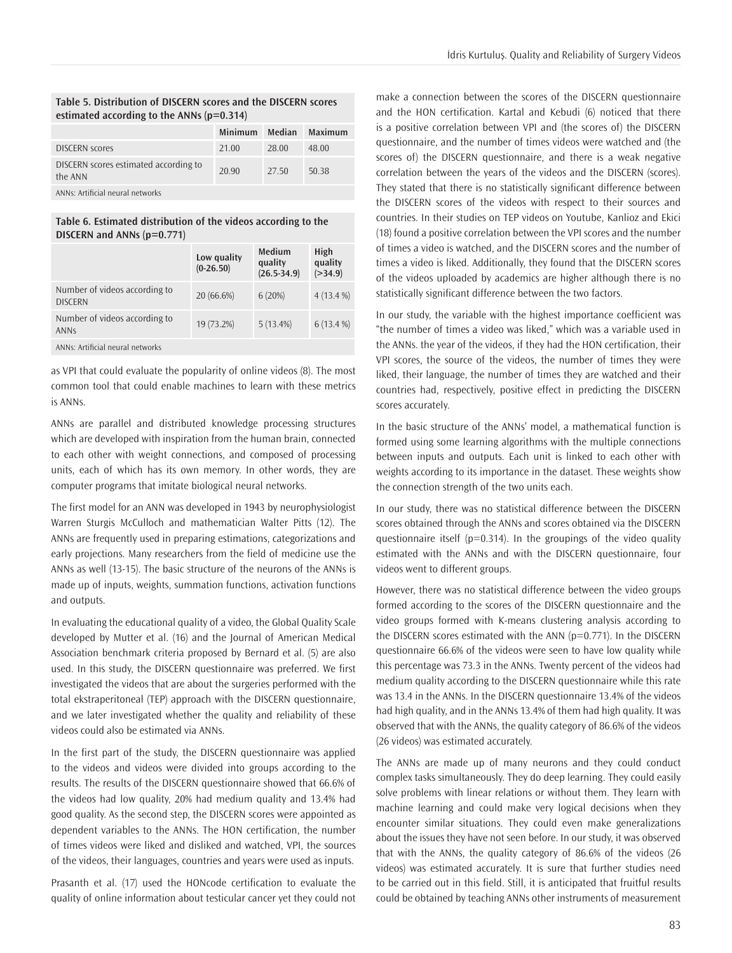#### **Table 5. Distribution of DISCERN scores and the DISCERN scores estimated according to the ANNs (p=0.314)**

|                                                  | <b>Minimum</b> | Median | Maximum |
|--------------------------------------------------|----------------|--------|---------|
| <b>DISCERN scores</b>                            | 21.00          | 28.00  | 48.00   |
| DISCERN scores estimated according to<br>the ANN | 20.90          | 27.50  | 50.38   |
| ANNe: Artificial noural notworks                 |                |        |         |

ANNs: Artificial neural networks

**Table 6. Estimated distribution of the videos according to the DISCERN and ANNs (p=0.771)**

|                                                 | Low quality<br>$(0-26.50)$ | Medium<br>quality<br>$(26.5 - 34.9)$ | High<br>quality<br>( > 34.9) |
|-------------------------------------------------|----------------------------|--------------------------------------|------------------------------|
| Number of videos according to<br><b>DISCERN</b> | 20 (66.6%)                 | 6(20%)                               | $4(13.4\%)$                  |
| Number of videos according to<br><b>ANNS</b>    | 19 (73.2%)                 | 5(13.4%)                             | $6(13.4\%)$                  |
| ANNs: Artificial neural networks                |                            |                                      |                              |

as VPI that could evaluate the popularity of online videos (8). The most common tool that could enable machines to learn with these metrics is ANNs.

ANNs are parallel and distributed knowledge processing structures which are developed with inspiration from the human brain, connected to each other with weight connections, and composed of processing units, each of which has its own memory. In other words, they are computer programs that imitate biological neural networks.

The first model for an ANN was developed in 1943 by neurophysiologist Warren Sturgis McCulloch and mathematician Walter Pitts (12). The ANNs are frequently used in preparing estimations, categorizations and early projections. Many researchers from the field of medicine use the ANNs as well (13-15). The basic structure of the neurons of the ANNs is made up of inputs, weights, summation functions, activation functions and outputs.

In evaluating the educational quality of a video, the Global Quality Scale developed by Mutter et al. (16) and the Journal of American Medical Association benchmark criteria proposed by Bernard et al. (5) are also used. In this study, the DISCERN questionnaire was preferred. We first investigated the videos that are about the surgeries performed with the total ekstraperitoneal (TEP) approach with the DISCERN questionnaire, and we later investigated whether the quality and reliability of these videos could also be estimated via ANNs.

In the first part of the study, the DISCERN questionnaire was applied to the videos and videos were divided into groups according to the results. The results of the DISCERN questionnaire showed that 66.6% of the videos had low quality, 20% had medium quality and 13.4% had good quality. As the second step, the DISCERN scores were appointed as dependent variables to the ANNs. The HON certification, the number of times videos were liked and disliked and watched, VPI, the sources of the videos, their languages, countries and years were used as inputs.

Prasanth et al. (17) used the HONcode certification to evaluate the quality of online information about testicular cancer yet they could not make a connection between the scores of the DISCERN questionnaire and the HON certification. Kartal and Kebudi (6) noticed that there is a positive correlation between VPI and (the scores of) the DISCERN questionnaire, and the number of times videos were watched and (the scores of) the DISCERN questionnaire, and there is a weak negative correlation between the years of the videos and the DISCERN (scores). They stated that there is no statistically significant difference between the DISCERN scores of the videos with respect to their sources and countries. In their studies on TEP videos on Youtube, Kanlioz and Ekici (18) found a positive correlation between the VPI scores and the number of times a video is watched, and the DISCERN scores and the number of times a video is liked. Additionally, they found that the DISCERN scores of the videos uploaded by academics are higher although there is no statistically significant difference between the two factors.

In our study, the variable with the highest importance coefficient was "the number of times a video was liked," which was a variable used in the ANNs. the year of the videos, if they had the HON certification, their VPI scores, the source of the videos, the number of times they were liked, their language, the number of times they are watched and their countries had, respectively, positive effect in predicting the DISCERN scores accurately.

In the basic structure of the ANNs' model, a mathematical function is formed using some learning algorithms with the multiple connections between inputs and outputs. Each unit is linked to each other with weights according to its importance in the dataset. These weights show the connection strength of the two units each.

In our study, there was no statistical difference between the DISCERN scores obtained through the ANNs and scores obtained via the DISCERN questionnaire itself ( $p=0.314$ ). In the groupings of the video quality estimated with the ANNs and with the DISCERN questionnaire, four videos went to different groups.

However, there was no statistical difference between the video groups formed according to the scores of the DISCERN questionnaire and the video groups formed with K-means clustering analysis according to the DISCERN scores estimated with the ANN (p=0.771). In the DISCERN questionnaire 66.6% of the videos were seen to have low quality while this percentage was 73.3 in the ANNs. Twenty percent of the videos had medium quality according to the DISCERN questionnaire while this rate was 13.4 in the ANNs. In the DISCERN questionnaire 13.4% of the videos had high quality, and in the ANNs 13.4% of them had high quality. It was observed that with the ANNs, the quality category of 86.6% of the videos (26 videos) was estimated accurately.

The ANNs are made up of many neurons and they could conduct complex tasks simultaneously. They do deep learning. They could easily solve problems with linear relations or without them. They learn with machine learning and could make very logical decisions when they encounter similar situations. They could even make generalizations about the issues they have not seen before. In our study, it was observed that with the ANNs, the quality category of 86.6% of the videos (26 videos) was estimated accurately. It is sure that further studies need to be carried out in this field. Still, it is anticipated that fruitful results could be obtained by teaching ANNs other instruments of measurement